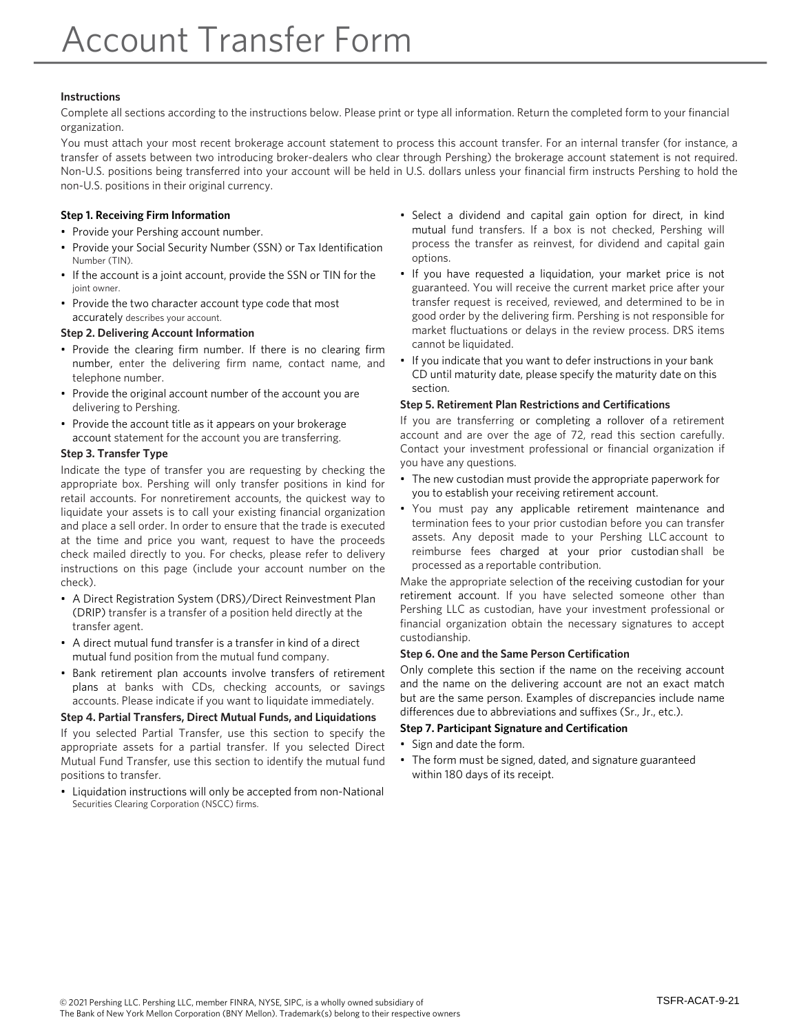# **Instructions**

Complete all sections according to the instructions below. Please print or type all information. Return the completed form to your financial organization.

You must attach your most recent brokerage account statement to process this account transfer. For an internal transfer (for instance, a transfer of assets between two introducing broker-dealers who clear through Pershing) the brokerage account statement is not required. Non-U.S. positions being transferred into your account will be held in U.S. dollars unless your financial firm instructs Pershing to hold the non-U.S. positions in their original currency.

# **Step 1. Receiving Firm Information**

- Provide your Pershing account number.
- Provide your Social Security Number (SSN) or Tax Identification Number (TIN).
- If the account is a joint account, provide the SSN or TIN for the joint owner.
- Provide the two character account type code that most accurately describes your account.

# **Step 2. Delivering Account Information**

- Provide the clearing firm number. If there is no clearing firm number, enter the delivering firm name, contact name, and telephone number.
- Provide the original account number of the account you are delivering to Pershing.
- Provide the account title as it appears on your brokerage account statement for the account you are transferring.

# **Step 3. Transfer Type**

Indicate the type of transfer you are requesting by checking the appropriate box. Pershing will only transfer positions in kind for retail accounts. For nonretirement accounts, the quickest way to liquidate your assets is to call your existing financial organization and place a sell order. In order to ensure that the trade is executed at the time and price you want, request to have the proceeds check mailed directly to you. For checks, please refer to delivery instructions on this page (include your account number on the check).

- A Direct Registration System (DRS)/Direct Reinvestment Plan (DRIP) transfer is a transfer of a position held directly at the transfer agent.
- A direct mutual fund transfer is a transfer in kind of a direct mutual fund position from the mutual fund company.
- Bank retirement plan accounts involve transfers of retirement plans at banks with CDs, checking accounts, or savings accounts. Please indicate if you want to liquidate immediately.

# **Step 4. Partial Transfers, Direct Mutual Funds, and Liquidations**

If you selected Partial Transfer, use this section to specify the appropriate assets for a partial transfer. If you selected Direct Mutual Fund Transfer, use this section to identify the mutual fund positions to transfer.

• Liquidation instructions will only be accepted from non-National Securities Clearing Corporation (NSCC) firms.

- Select a dividend and capital gain option for direct, in kind mutual fund transfers. If a box is not checked, Pershing will process the transfer as reinvest, for dividend and capital gain options.
- If you have requested a liquidation, your market price is not guaranteed. You will receive the current market price after your transfer request is received, reviewed, and determined to be in good order by the delivering firm. Pershing is not responsible for market fluctuations or delays in the review process. DRS items cannot be liquidated.
- If you indicate that you want to defer instructions in your bank CD until maturity date, please specify the maturity date on this section.

# **Step 5. Retirement Plan Restrictions and Certifications**

If you are transferring or completing a rollover of a retirement account and are over the age of 72, read this section carefully. Contact your investment professional or financial organization if you have any questions.

- The new custodian must provide the appropriate paperwork for you to establish your receiving retirement account.
- You must pay any applicable retirement maintenance and termination fees to your prior custodian before you can transfer assets. Any deposit made to your Pershing LLC account to reimburse fees charged at your prior custodian shall be processed as a reportable contribution.

Make the appropriate selection of the receiving custodian for your retirement account. If you have selected someone other than Pershing LLC as custodian, have your investment professional or financial organization obtain the necessary signatures to accept custodianship.

## **Step 6. One and the Same Person Certification**

Only complete this section if the name on the receiving account and the name on the delivering account are not an exact match but are the same person. Examples of discrepancies include name differences due to abbreviations and suffixes (Sr., Jr., etc.).

## **Step 7. Participant Signature and Certification**

- Sign and date the form.
- The form must be signed, dated, and signature guaranteed within 180 days of its receipt.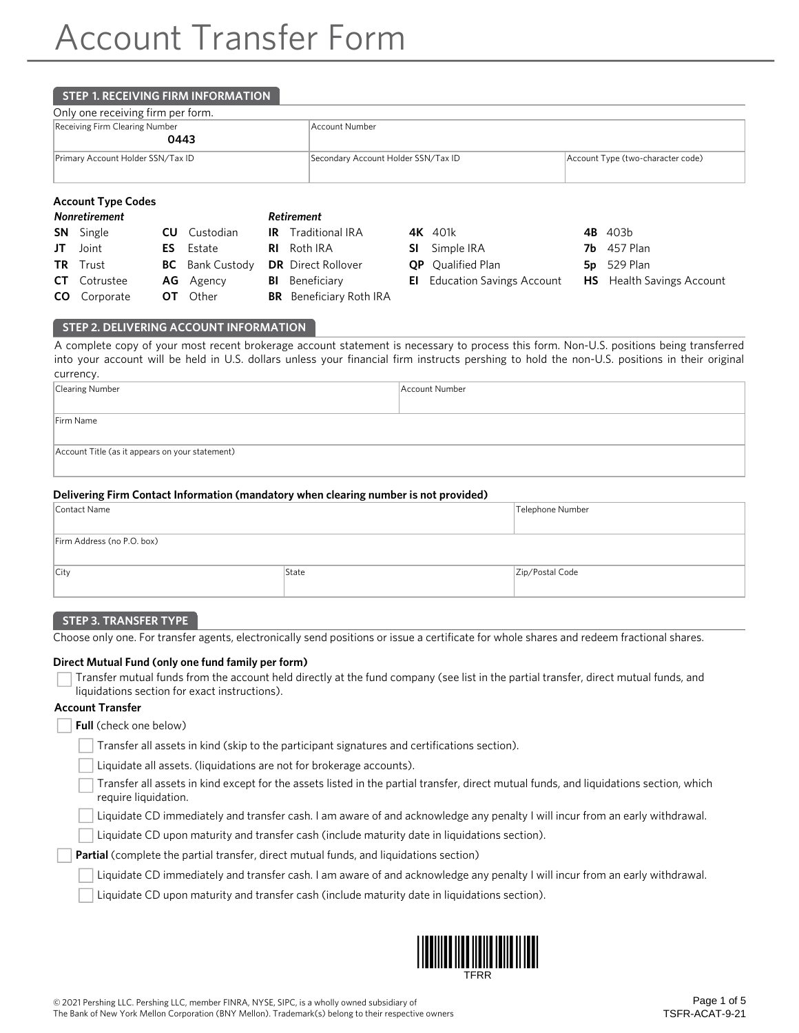# **STEP 1. RECEIVING FIRM INFORMATION**

| Only one receiving firm per form. |  |
|-----------------------------------|--|
|-----------------------------------|--|

| Receiving Firm Clearing Number<br>0443 | Account Number                      |                                   |  |
|----------------------------------------|-------------------------------------|-----------------------------------|--|
| Primary Account Holder SSN/Tax ID      | Secondary Account Holder SSN/Tax ID | Account Type (two-character code) |  |

# **Account Type Codes**

| Nonretirement       |                        | Retirement                     |                                     |                    |
|---------------------|------------------------|--------------------------------|-------------------------------------|--------------------|
| <b>SN</b> Single    | <b>CU</b> Custodian    | <b>IR</b> Traditional IRA      | <b>4K</b> 401k                      | 4B 403b            |
| $JT$ Joint          | <b>ES</b> Estate       | <b>RI</b> Roth IRA             | <b>SI</b> Simple IRA                | <b>7b</b> 457 Plan |
| <b>TR</b> Trust     | <b>BC</b> Bank Custody | <b>DR</b> Direct Rollover      | <b>QP</b> Qualified Plan            | <b>5p</b> 529 Plan |
| <b>CT</b> Cotrustee | <b>AG</b> Agency       | <b>BI</b> Beneficiary          | <b>El</b> Education Savings Account | <b>HS</b> Health S |
| <b>CO</b> Corporate | <b>OT</b> Other        | <b>BR</b> Beneficiary Roth IRA |                                     |                    |

| 4K 401k                             |
|-------------------------------------|
| SI Simple IRA                       |
| <b>QP</b> Qualified Plan            |
| <b>El</b> Education Savings Account |

- 
- $5p$  529 Plan
- **HS** Health Savings Account

# **STEP 2. DELIVERING ACCOUNT INFORMATION**

A complete copy of your most recent brokerage account statement is necessary to process this form. Non-U.S. positions being transferred into your account will be held in U.S. dollars unless your financial firm instructs pershing to hold the non-U.S. positions in their original currency.

| Clearing Number                                 | Account Number |  |  |  |  |  |
|-------------------------------------------------|----------------|--|--|--|--|--|
|                                                 |                |  |  |  |  |  |
| Firm Name                                       |                |  |  |  |  |  |
|                                                 |                |  |  |  |  |  |
| Account Title (as it appears on your statement) |                |  |  |  |  |  |
|                                                 |                |  |  |  |  |  |

## **Delivering Firm Contact Information (mandatory when clearing number is not provided)**

| Contact Name               | Telephone Number |                 |
|----------------------------|------------------|-----------------|
| Firm Address (no P.O. box) |                  |                 |
| <b>City</b>                | State            | Zip/Postal Code |

#### **STEP 3. TRANSFER TYPE**

Choose only one. For transfer agents, electronically send positions or issue a certificate for whole shares and redeem fractional shares.

### **Direct Mutual Fund (only one fund family per form)**

| Transfer mutual funds from the account held directly at the fund company (see list in the partial transfer, direct mutual funds, and |
|--------------------------------------------------------------------------------------------------------------------------------------|
| liquidations section for exact instructions).                                                                                        |

## **Account Transfer**

**Full** (check one below)

Transfer all assets in kind (skip to the participant signatures and certifications section).

Liquidate all assets. (liquidations are not for brokerage accounts).

Transfer all assets in kind except for the assets listed in the partial transfer, direct mutual funds, and liquidations section, which require liquidation.

Liquidate CD immediately and transfer cash. I am aware of and acknowledge any penalty I will incur from an early withdrawal.

Liquidate CD upon maturity and transfer cash (include maturity date in liquidations section).

Partial (complete the partial transfer, direct mutual funds, and liquidations section)

Liquidate CD immediately and transfer cash. I am aware of and acknowledge any penalty I will incur from an early withdrawal.

Liquidate CD upon maturity and transfer cash (include maturity date in liquidations section).

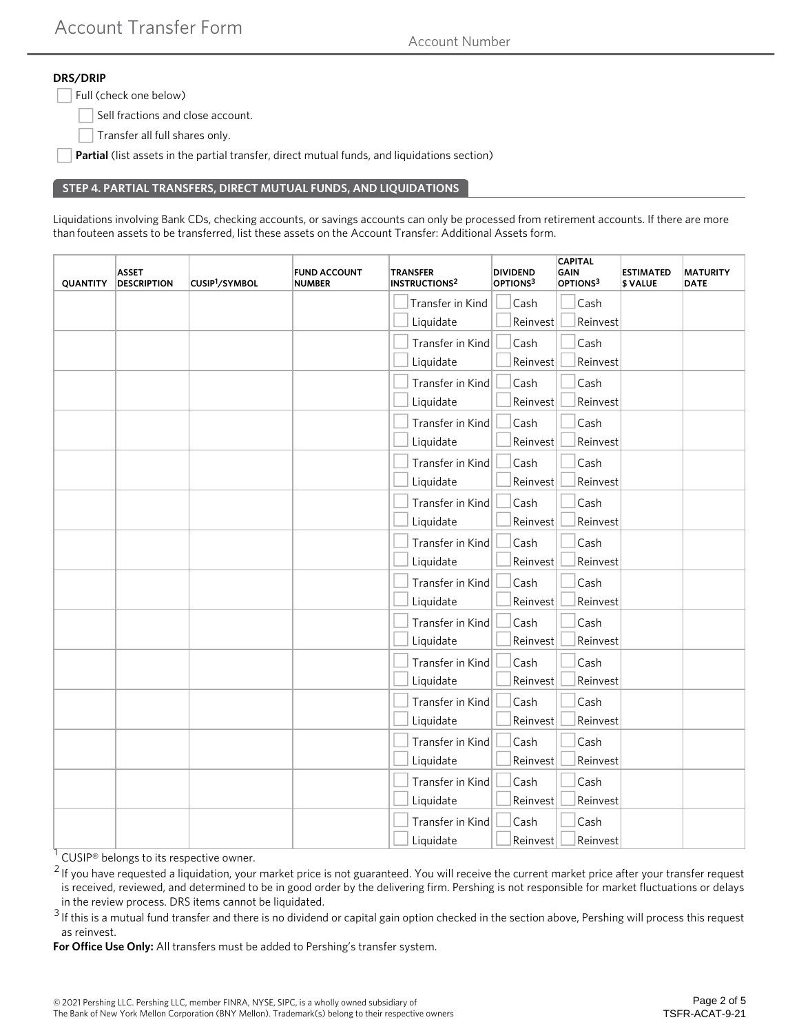Account Number

# **DRS/DRIP**

Full (check one below)

Sell fractions and close account.

Transfer all full shares only.

Partial (list assets in the partial transfer, direct mutual funds, and liquidations section)

# **STEP 4. PARTIAL TRANSFERS, DIRECT MUTUAL FUNDS, AND LIQUIDATIONS**

Liquidations involving Bank CDs, checking accounts, or savings accounts can only be processed from retirement accounts. If there are more than fouteen assets to be transferred, list these assets on the Account Transfer: Additional Assets form.

| <b>QUANTITY</b> | <b>ASSET</b><br><b>DESCRIPTION</b> | CUSIP <sup>1</sup> /SYMBOL | <b>FUND ACCOUNT</b><br><b>NUMBER</b> | <b>TRANSFER</b><br><b>INSTRUCTIONS2</b> | <b>DIVIDEND</b><br>OPTIONS3 | <b>CAPITAL</b><br><b>GAIN</b><br>OPTIONS <sup>3</sup> | <b>ESTIMATED</b><br>\$ VALUE | <b>MATURITY</b><br><b>DATE</b> |
|-----------------|------------------------------------|----------------------------|--------------------------------------|-----------------------------------------|-----------------------------|-------------------------------------------------------|------------------------------|--------------------------------|
|                 |                                    |                            |                                      | Transfer in Kind                        | Cash                        | Cash                                                  |                              |                                |
|                 |                                    |                            |                                      | Liquidate                               | Reinvest                    | Reinvest                                              |                              |                                |
|                 |                                    |                            |                                      | Transfer in Kind                        | Cash                        | Cash                                                  |                              |                                |
|                 |                                    |                            |                                      | Liquidate                               | Reinvest                    | Reinvest                                              |                              |                                |
|                 |                                    |                            |                                      | Transfer in Kind                        | Cash                        | Cash                                                  |                              |                                |
|                 |                                    |                            |                                      | Liquidate                               | Reinvest                    | Reinvest                                              |                              |                                |
|                 |                                    |                            |                                      | Transfer in Kind                        | Cash                        | Cash                                                  |                              |                                |
|                 |                                    |                            |                                      | Liquidate                               | Reinvest                    | Reinvest                                              |                              |                                |
|                 |                                    |                            |                                      | Transfer in Kind                        | Cash                        | Cash                                                  |                              |                                |
|                 |                                    |                            |                                      | Liquidate                               | Reinvest                    | Reinvest                                              |                              |                                |
|                 |                                    |                            |                                      | Transfer in Kind                        | Cash                        | Cash                                                  |                              |                                |
|                 |                                    |                            |                                      | Liquidate                               | Reinvest                    | Reinvest                                              |                              |                                |
|                 |                                    |                            |                                      | Transfer in Kind                        | Cash                        | Cash                                                  |                              |                                |
|                 |                                    |                            |                                      | Liquidate                               | Reinvest                    | Reinvest                                              |                              |                                |
|                 |                                    |                            |                                      | Transfer in Kind                        | Cash                        | Cash                                                  |                              |                                |
|                 |                                    |                            |                                      | Liquidate                               | Reinvest                    | Reinvest                                              |                              |                                |
|                 |                                    |                            |                                      | Transfer in Kind                        | Cash                        | Cash                                                  |                              |                                |
|                 |                                    |                            |                                      | Liquidate                               | Reinvest                    | Reinvest                                              |                              |                                |
|                 |                                    |                            |                                      | Transfer in Kind                        | Cash                        | Cash                                                  |                              |                                |
|                 |                                    |                            |                                      | Liquidate                               | Reinvest                    | Reinvest                                              |                              |                                |
|                 |                                    |                            |                                      | Transfer in Kind                        | Cash                        | Cash                                                  |                              |                                |
|                 |                                    |                            |                                      | Liquidate                               | Reinvest                    | Reinvest                                              |                              |                                |
|                 |                                    |                            |                                      | Transfer in Kind                        | Cash                        | Cash                                                  |                              |                                |
|                 |                                    |                            |                                      | Liquidate                               | Reinvest                    | Reinvest                                              |                              |                                |
|                 |                                    |                            |                                      | Transfer in Kind                        | Cash                        | Cash                                                  |                              |                                |
|                 |                                    |                            |                                      | Liquidate                               | Reinvest                    | Reinvest                                              |                              |                                |
|                 |                                    |                            |                                      | Transfer in Kind                        | Cash                        | Cash                                                  |                              |                                |
|                 |                                    |                            |                                      | Liquidate                               | Reinvest                    | Reinvest                                              |                              |                                |

1 CUSIP<sup>®</sup> belongs to its respective owner.

 $2$  If you have requested a liquidation, your market price is not guaranteed. You will receive the current market price after your transfer request is received, reviewed, and determined to be in good order by the delivering firm. Pershing is not responsible for market fluctuations or delays in the review process. DRS items cannot be liquidated.

 $3$  If this is a mutual fund transfer and there is no dividend or capital gain option checked in the section above, Pershing will process this request as reinvest.

**For Office Use Only:** All transfers must be added to Pershing's transfer system.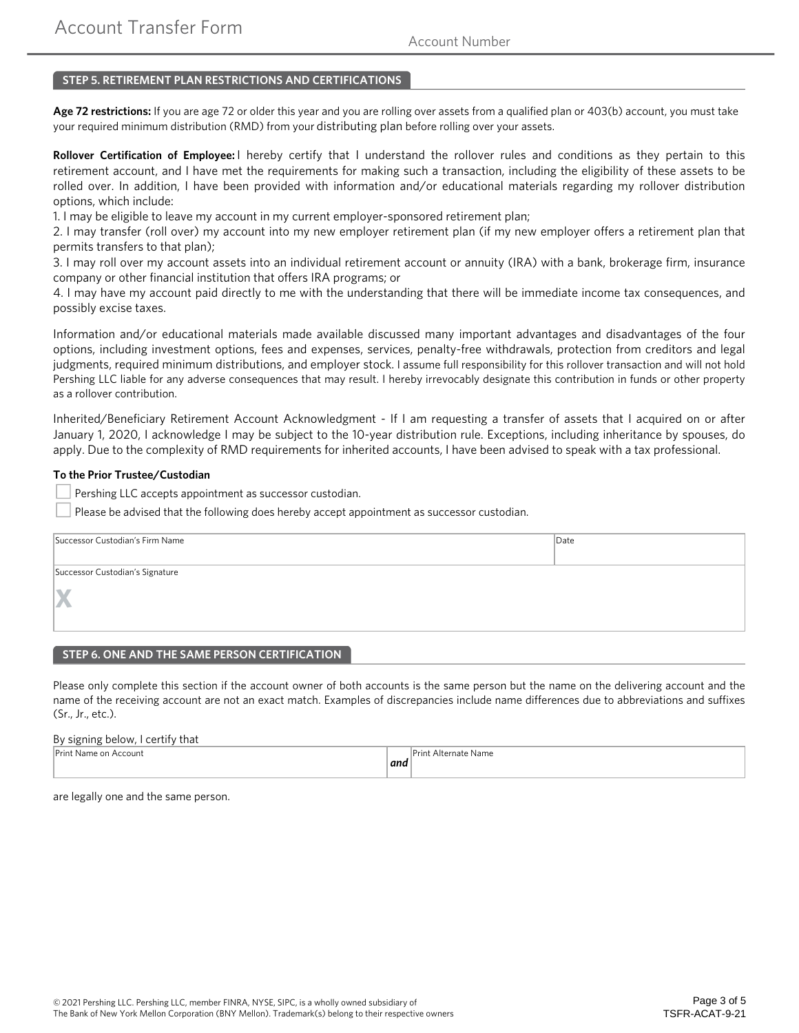# **STEP 5. RETIREMENT PLAN RESTRICTIONS AND CERTIFICATIONS**

**Age 72 restrictions:** If you are age 72 or older this year and you are rolling over assets from a qualified plan or 403(b) account, you must take your required minimum distribution (RMD) from your distributing plan before rolling over your assets.

**Rollover Certification of Employee:** I hereby certify that I understand the rollover rules and conditions as they pertain to this retirement account, and I have met the requirements for making such a transaction, including the eligibility of these assets to be rolled over. In addition, I have been provided with information and/or educational materials regarding my rollover distribution options, which include:

1. I may be eligible to leave my account in my current employer-sponsored retirement plan;

2. I may transfer (roll over) my account into my new employer retirement plan (if my new employer offers a retirement plan that permits transfers to that plan);

3. I may roll over my account assets into an individual retirement account or annuity (IRA) with a bank, brokerage firm, insurance company or other financial institution that offers IRA programs; or

4. I may have my account paid directly to me with the understanding that there will be immediate income tax consequences, and possibly excise taxes.

Information and/or educational materials made available discussed many important advantages and disadvantages of the four options, including investment options, fees and expenses, services, penalty-free withdrawals, protection from creditors and legal judgments, required minimum distributions, and employer stock. I assume full responsibility for this rollover transaction and will not hold Pershing LLC liable for any adverse consequences that may result. I hereby irrevocably designate this contribution in funds or other property as a rollover contribution.

Inherited/Beneficiary Retirement Account Acknowledgment - If I am requesting a transfer of assets that I acquired on or after January 1, 2020, I acknowledge I may be subject to the 10-year distribution rule. Exceptions, including inheritance by spouses, do apply. Due to the complexity of RMD requirements for inherited accounts, I have been advised to speak with a tax professional.

## **To the Prior Trustee/Custodian**

Pershing LLC accepts appointment as successor custodian.

Please be advised that the following does hereby accept appointment as successor custodian.

| Successor Custodian's Firm Name | Data |  |  |  |  |  |
|---------------------------------|------|--|--|--|--|--|
|                                 |      |  |  |  |  |  |
| Successor Custodian's Signature |      |  |  |  |  |  |
| X                               |      |  |  |  |  |  |
|                                 |      |  |  |  |  |  |
|                                 |      |  |  |  |  |  |

## **STEP 6. ONE AND THE SAME PERSON CERTIFICATION**

Please only complete this section if the account owner of both accounts is the same person but the name on the delivering account and the name of the receiving account are not an exact match. Examples of discrepancies include name differences due to abbreviations and suffixes (Sr., Jr., etc.).

### By signing below, I certify that

| Print<br>ccount<br>: on<br>Name<br>. |      | ایرل<br>Alternate<br>Name. |
|--------------------------------------|------|----------------------------|
|                                      | ∣ana |                            |
|                                      |      |                            |

are legally one and the same person.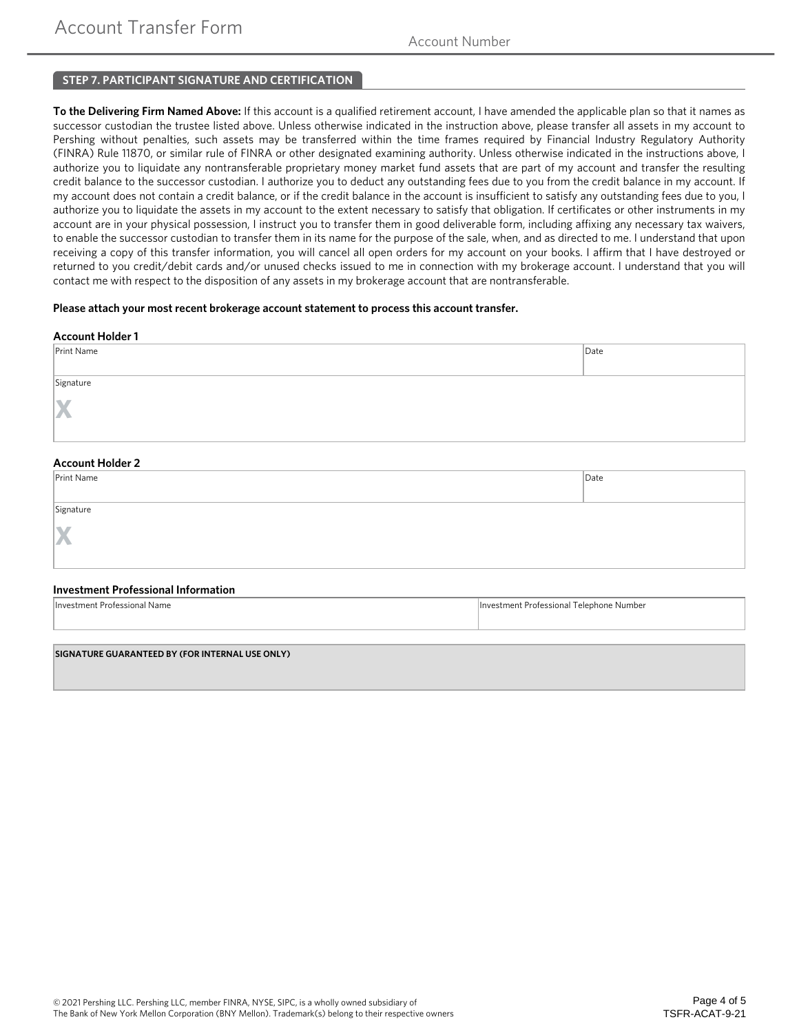# **STEP 7. PARTICIPANT SIGNATURE AND CERTIFICATION**

**To the Delivering Firm Named Above:** If this account is a qualified retirement account, I have amended the applicable plan so that it names as successor custodian the trustee listed above. Unless otherwise indicated in the instruction above, please transfer all assets in my account to Pershing without penalties, such assets may be transferred within the time frames required by Financial Industry Regulatory Authority (FINRA) Rule 11870, or similar rule of FINRA or other designated examining authority. Unless otherwise indicated in the instructions above, I authorize you to liquidate any nontransferable proprietary money market fund assets that are part of my account and transfer the resulting credit balance to the successor custodian. I authorize you to deduct any outstanding fees due to you from the credit balance in my account. If my account does not contain a credit balance, or if the credit balance in the account is insufficient to satisfy any outstanding fees due to you, I authorize you to liquidate the assets in my account to the extent necessary to satisfy that obligation. If certificates or other instruments in my account are in your physical possession, I instruct you to transfer them in good deliverable form, including affixing any necessary tax waivers, to enable the successor custodian to transfer them in its name for the purpose of the sale, when, and as directed to me. I understand that upon receiving a copy of this transfer information, you will cancel all open orders for my account on your books. I affirm that I have destroyed or returned to you credit/debit cards and/or unused checks issued to me in connection with my brokerage account. I understand that you will contact me with respect to the disposition of any assets in my brokerage account that are nontransferable.

## **Please attach your most recent brokerage account statement to process this account transfer.**

| <b>Account Holder 1</b> |              |
|-------------------------|--------------|
| Print Name              | $\vert$ Date |
|                         |              |
| Signature               |              |
|                         |              |
| X                       |              |
|                         |              |
|                         |              |
| <b>Account Holder 2</b> |              |
| Print Name              | $\vert$ Date |
|                         |              |
| Signature               |              |
|                         |              |
| X                       |              |
|                         |              |

#### **Investment Professional Information**

| t Professional Name. | estment Professional<br>- Lelephone Number |
|----------------------|--------------------------------------------|
|                      |                                            |

**SIGNATURE GUARANTEED BY (FOR INTERNAL USE ONLY)**